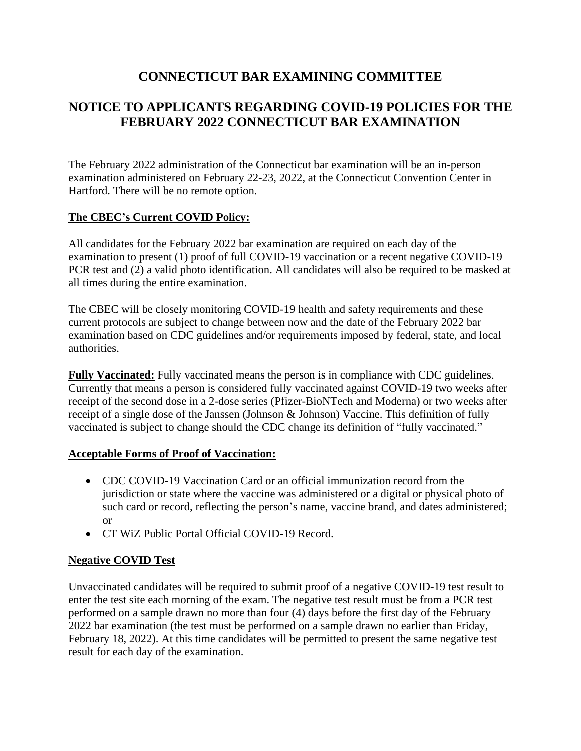## **CONNECTICUT BAR EXAMINING COMMITTEE**

# **NOTICE TO APPLICANTS REGARDING COVID-19 POLICIES FOR THE FEBRUARY 2022 CONNECTICUT BAR EXAMINATION**

The February 2022 administration of the Connecticut bar examination will be an in-person examination administered on February 22-23, 2022, at the Connecticut Convention Center in Hartford. There will be no remote option.

#### **The CBEC's Current COVID Policy:**

All candidates for the February 2022 bar examination are required on each day of the examination to present (1) proof of full COVID-19 vaccination or a recent negative COVID-19 PCR test and (2) a valid photo identification. All candidates will also be required to be masked at all times during the entire examination.

The CBEC will be closely monitoring COVID-19 health and safety requirements and these current protocols are subject to change between now and the date of the February 2022 bar examination based on CDC guidelines and/or requirements imposed by federal, state, and local authorities.

**Fully Vaccinated:** Fully vaccinated means the person is in compliance with CDC guidelines. Currently that means a person is considered fully vaccinated against COVID-19 two weeks after receipt of the second dose in a 2-dose series (Pfizer-BioNTech and Moderna) or two weeks after receipt of a single dose of the Janssen (Johnson & Johnson) Vaccine. This definition of fully vaccinated is subject to change should the CDC change its definition of "fully vaccinated."

#### **Acceptable Forms of Proof of Vaccination:**

- CDC COVID-19 Vaccination Card or an official immunization record from the jurisdiction or state where the vaccine was administered or a digital or physical photo of such card or record, reflecting the person's name, vaccine brand, and dates administered; or
- CT WiZ Public Portal Official COVID-19 Record.

### **Negative COVID Test**

Unvaccinated candidates will be required to submit proof of a negative COVID-19 test result to enter the test site each morning of the exam. The negative test result must be from a PCR test performed on a sample drawn no more than four (4) days before the first day of the February 2022 bar examination (the test must be performed on a sample drawn no earlier than Friday, February 18, 2022). At this time candidates will be permitted to present the same negative test result for each day of the examination.